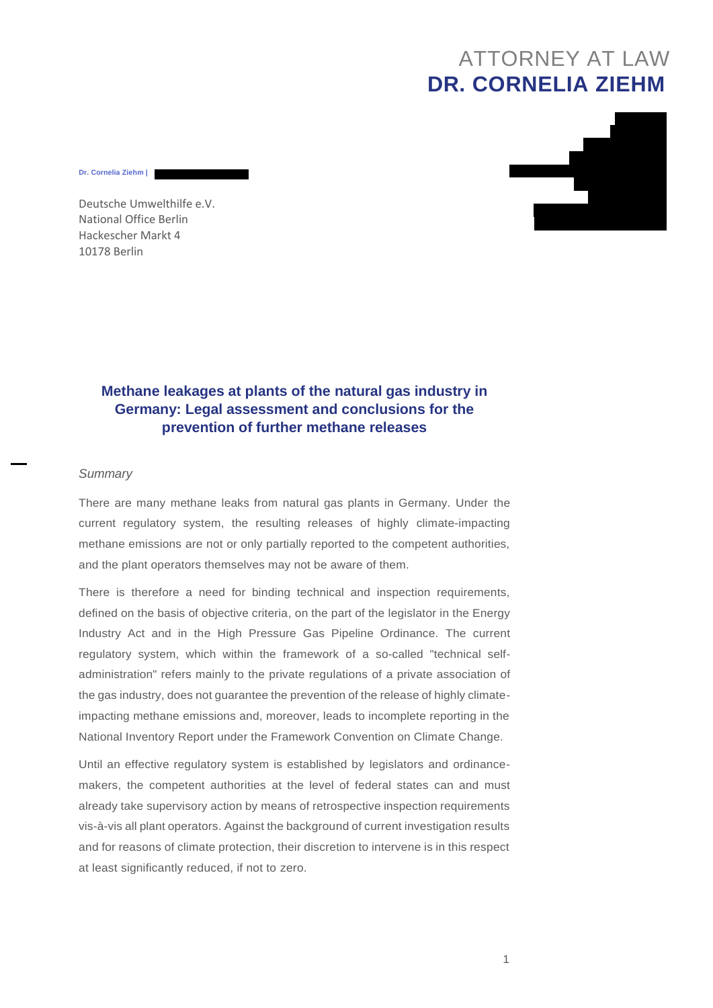# ATTORNEY AT LAW **DR. CORNELIA ZIEHM**



Deutsche Umwelthilfe e.V. National Office Berlin Hackescher Markt 4 10178 Berlin

**Dr. Cornelia Ziehm |** 

## **Methane leakages at plants of the natural gas industry in Germany: Legal assessment and conclusions for the prevention of further methane releases**

### *Summary*

There are many methane leaks from natural gas plants in Germany. Under the current regulatory system, the resulting releases of highly climate-impacting methane emissions are not or only partially reported to the competent authorities, and the plant operators themselves may not be aware of them.

There is therefore a need for binding technical and inspection requirements, defined on the basis of objective criteria, on the part of the legislator in the Energy Industry Act and in the High Pressure Gas Pipeline Ordinance. The current regulatory system, which within the framework of a so-called "technical selfadministration" refers mainly to the private regulations of a private association of the gas industry, does not guarantee the prevention of the release of highly climateimpacting methane emissions and, moreover, leads to incomplete reporting in the National Inventory Report under the Framework Convention on Climate Change.

Until an effective regulatory system is established by legislators and ordinancemakers, the competent authorities at the level of federal states can and must already take supervisory action by means of retrospective inspection requirements vis-à-vis all plant operators. Against the background of current investigation results and for reasons of climate protection, their discretion to intervene is in this respect at least significantly reduced, if not to zero.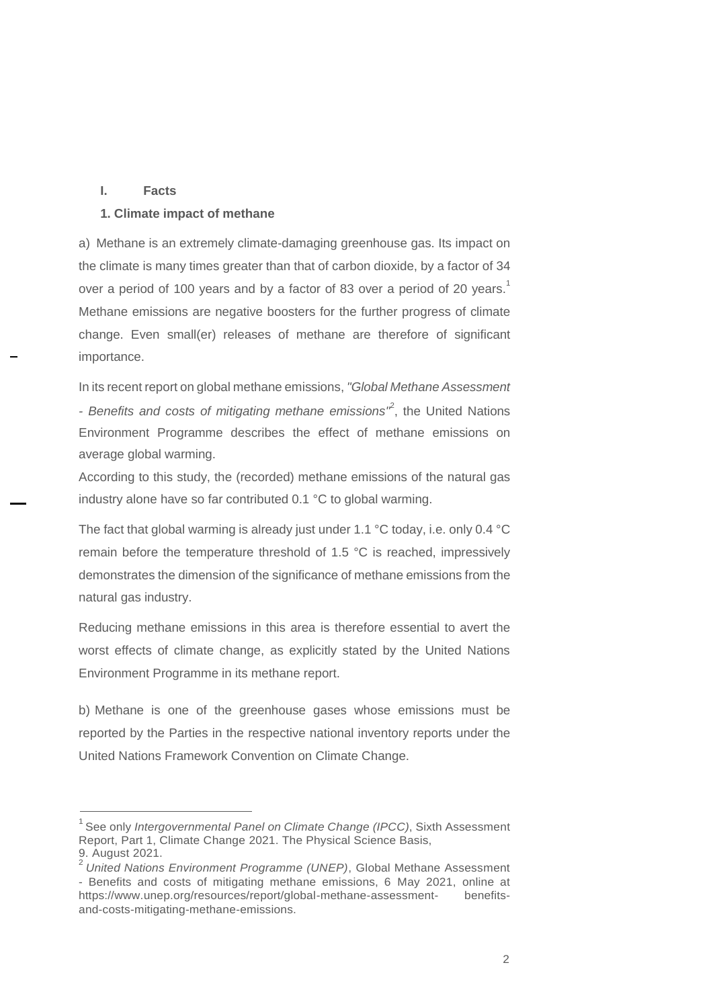#### **I. Facts**

#### **1. Climate impact of methane**

a) Methane is an extremely climate-damaging greenhouse gas. Its impact on the climate is many times greater than that of carbon dioxide, by a factor of 34 over a period of 100 years and by a factor of 83 over a period of 20 years. Methane emissions are negative boosters for the further progress of climate change. Even small(er) releases of methane are therefore of significant importance.

In its recent report on global methane emissions, *"Global Methane Assessment*  - Benefits and costs of mitigating methane emissions<sup>"</sup>, the United Nations Environment Programme describes the effect of methane emissions on average global warming.

According to this study, the (recorded) methane emissions of the natural gas industry alone have so far contributed 0.1 °C to global warming.

The fact that global warming is already just under 1.1 °C today, i.e. only 0.4 °C remain before the temperature threshold of 1.5 °C is reached, impressively demonstrates the dimension of the significance of methane emissions from the natural gas industry.

Reducing methane emissions in this area is therefore essential to avert the worst effects of climate change, as explicitly stated by the United Nations Environment Programme in its methane report.

b) Methane is one of the greenhouse gases whose emissions must be reported by the Parties in the respective national inventory reports under the United Nations Framework Convention on Climate Change.

<sup>&</sup>lt;sup>1</sup> See only *Intergovernmental Panel on Climate Change (IPCC)*, Sixth Assessment Report, Part 1, Climate Change 2021. The Physical Science Basis, 9. August 2021.

<sup>2</sup>*United Nations Environment Programme (UNEP)*, Global Methane Assessment - Benefits and costs of mitigating methane emissions, 6 May 2021, online at [https://www.unep.org/resources/report/global-methane-assessment-](http://www.unep.org/resources/report/global-methane-assessment-) benefitsand-costs-mitigating-methane-emissions.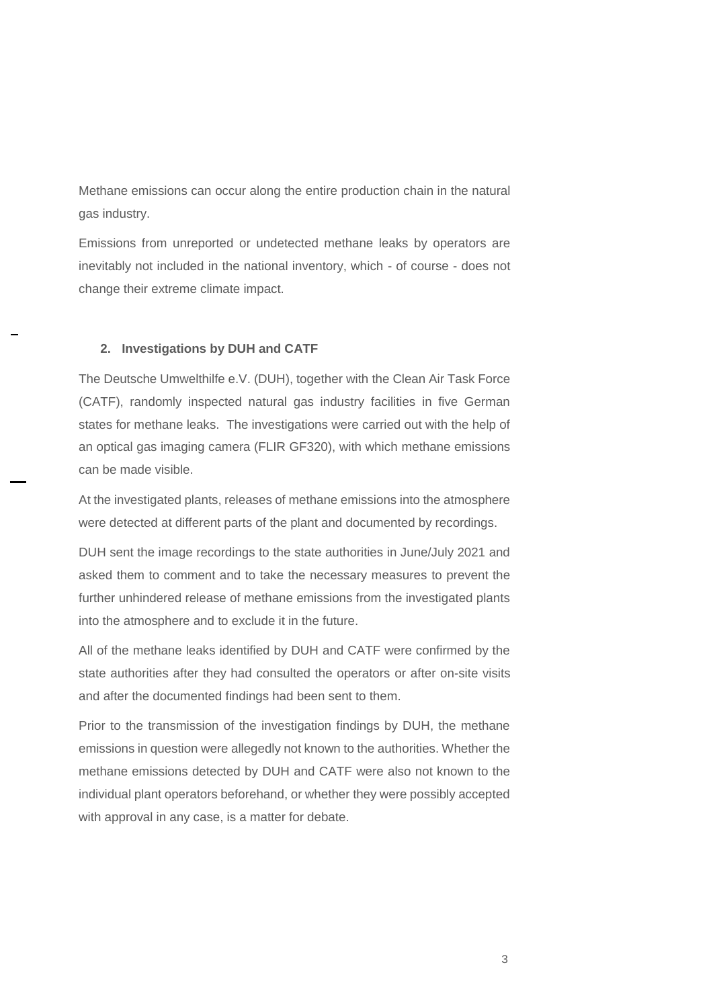Methane emissions can occur along the entire production chain in the natural gas industry.

Emissions from unreported or undetected methane leaks by operators are inevitably not included in the national inventory, which - of course - does not change their extreme climate impact.

## **2. Investigations by DUH and CATF**

The Deutsche Umwelthilfe e.V. (DUH), together with the Clean Air Task Force (CATF), randomly inspected natural gas industry facilities in five German states for methane leaks. The investigations were carried out with the help of an optical gas imaging camera (FLIR GF320), with which methane emissions can be made visible.

At the investigated plants, releases of methane emissions into the atmosphere were detected at different parts of the plant and documented by recordings.

DUH sent the image recordings to the state authorities in June/July 2021 and asked them to comment and to take the necessary measures to prevent the further unhindered release of methane emissions from the investigated plants into the atmosphere and to exclude it in the future.

All of the methane leaks identified by DUH and CATF were confirmed by the state authorities after they had consulted the operators or after on-site visits and after the documented findings had been sent to them.

Prior to the transmission of the investigation findings by DUH, the methane emissions in question were allegedly not known to the authorities. Whether the methane emissions detected by DUH and CATF were also not known to the individual plant operators beforehand, or whether they were possibly accepted with approval in any case, is a matter for debate.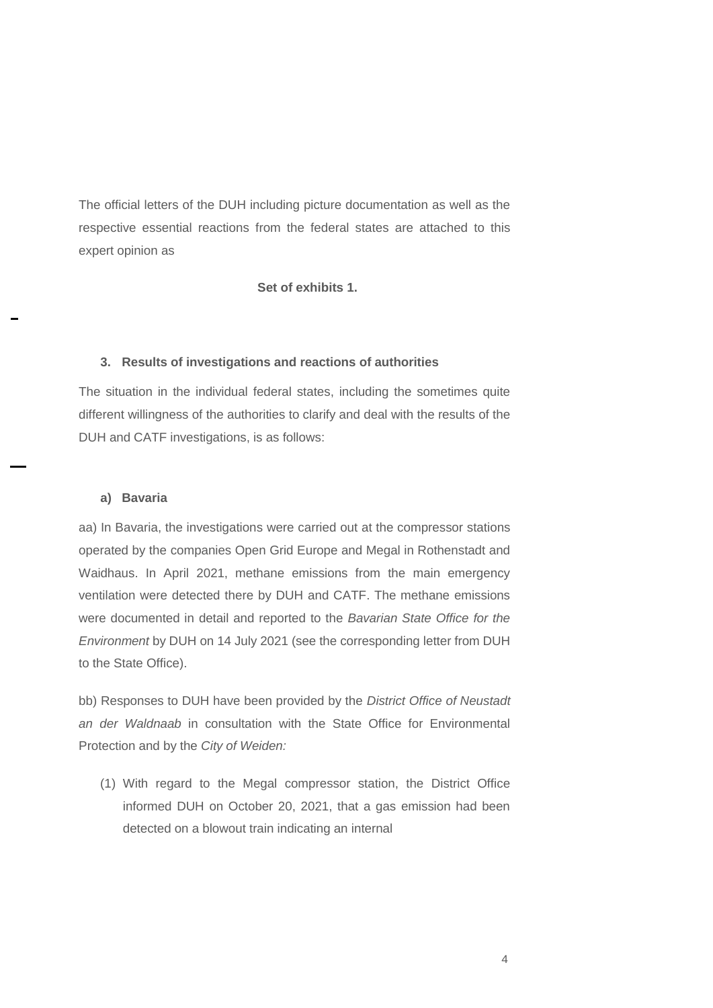The official letters of the DUH including picture documentation as well as the respective essential reactions from the federal states are attached to this expert opinion as

**Set of exhibits 1.**

## **3. Results of investigations and reactions of authorities**

The situation in the individual federal states, including the sometimes quite different willingness of the authorities to clarify and deal with the results of the DUH and CATF investigations, is as follows:

#### **a) Bavaria**

aa) In Bavaria, the investigations were carried out at the compressor stations operated by the companies Open Grid Europe and Megal in Rothenstadt and Waidhaus. In April 2021, methane emissions from the main emergency ventilation were detected there by DUH and CATF. The methane emissions were documented in detail and reported to the *Bavarian State Office for the Environment* by DUH on 14 July 2021 (see the corresponding letter from DUH to the State Office).

bb) Responses to DUH have been provided by the *District Office of Neustadt an der Waldnaab* in consultation with the State Office for Environmental Protection and by the *City of Weiden:* 

(1) With regard to the Megal compressor station, the District Office informed DUH on October 20, 2021, that a gas emission had been detected on a blowout train indicating an internal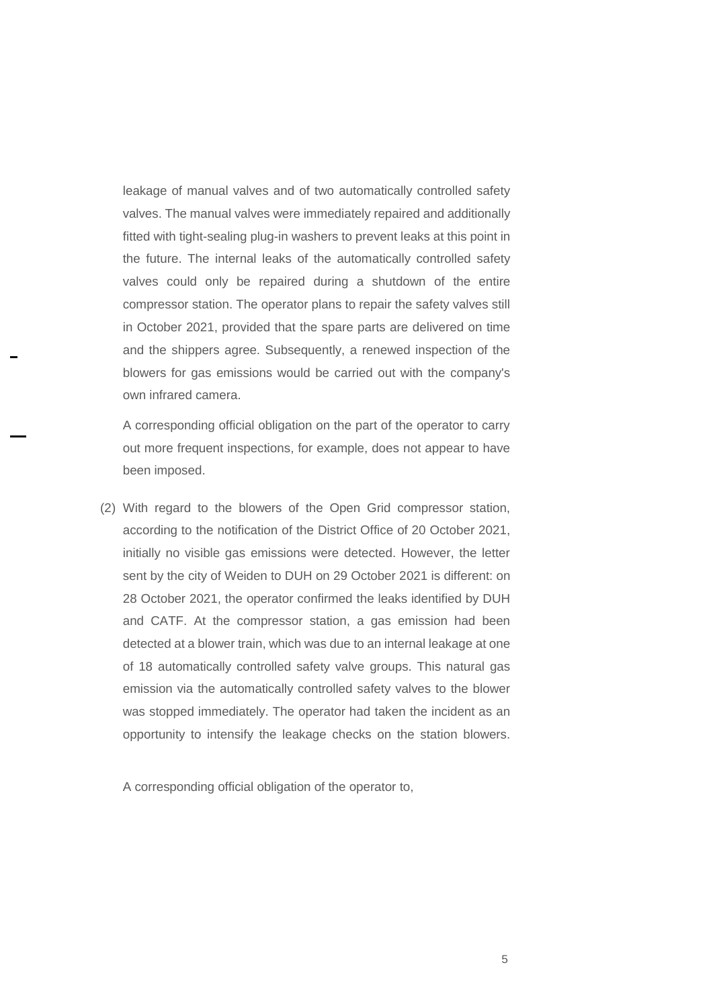leakage of manual valves and of two automatically controlled safety valves. The manual valves were immediately repaired and additionally fitted with tight-sealing plug-in washers to prevent leaks at this point in the future. The internal leaks of the automatically controlled safety valves could only be repaired during a shutdown of the entire compressor station. The operator plans to repair the safety valves still in October 2021, provided that the spare parts are delivered on time and the shippers agree. Subsequently, a renewed inspection of the blowers for gas emissions would be carried out with the company's own infrared camera.

A corresponding official obligation on the part of the operator to carry out more frequent inspections, for example, does not appear to have been imposed.

(2) With regard to the blowers of the Open Grid compressor station, according to the notification of the District Office of 20 October 2021, initially no visible gas emissions were detected. However, the letter sent by the city of Weiden to DUH on 29 October 2021 is different: on 28 October 2021, the operator confirmed the leaks identified by DUH and CATF. At the compressor station, a gas emission had been detected at a blower train, which was due to an internal leakage at one of 18 automatically controlled safety valve groups. This natural gas emission via the automatically controlled safety valves to the blower was stopped immediately. The operator had taken the incident as an opportunity to intensify the leakage checks on the station blowers.

A corresponding official obligation of the operator to,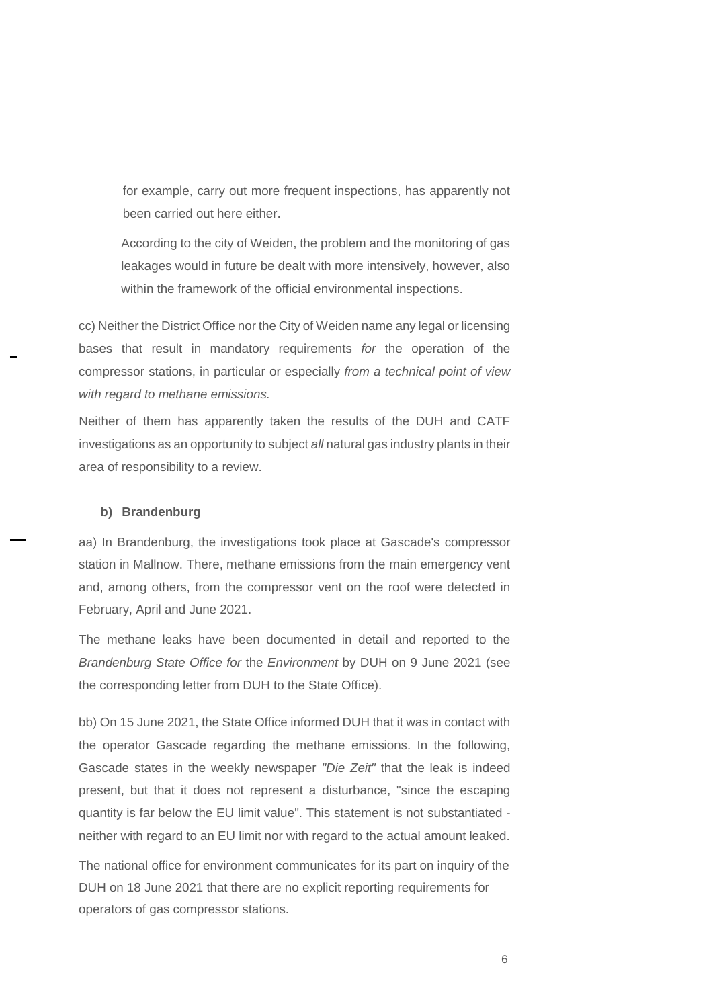for example, carry out more frequent inspections, has apparently not been carried out here either.

According to the city of Weiden, the problem and the monitoring of gas leakages would in future be dealt with more intensively, however, also within the framework of the official environmental inspections.

cc) Neither the District Office nor the City of Weiden name any legal or licensing bases that result in mandatory requirements *for* the operation of the compressor stations, in particular or especially *from a technical point of view with regard to methane emissions.*

Neither of them has apparently taken the results of the DUH and CATF investigations as an opportunity to subject *all* natural gas industry plants in their area of responsibility to a review.

## **b) Brandenburg**

aa) In Brandenburg, the investigations took place at Gascade's compressor station in Mallnow. There, methane emissions from the main emergency vent and, among others, from the compressor vent on the roof were detected in February, April and June 2021.

The methane leaks have been documented in detail and reported to the *Brandenburg State Office for* the *Environment* by DUH on 9 June 2021 (see the corresponding letter from DUH to the State Office).

bb) On 15 June 2021, the State Office informed DUH that it was in contact with the operator Gascade regarding the methane emissions. In the following, Gascade states in the weekly newspaper *"Die Zeit"* that the leak is indeed present, but that it does not represent a disturbance, "since the escaping quantity is far below the EU limit value". This statement is not substantiated neither with regard to an EU limit nor with regard to the actual amount leaked.

The national office for environment communicates for its part on inquiry of the DUH on 18 June 2021 that there are no explicit reporting requirements for operators of gas compressor stations.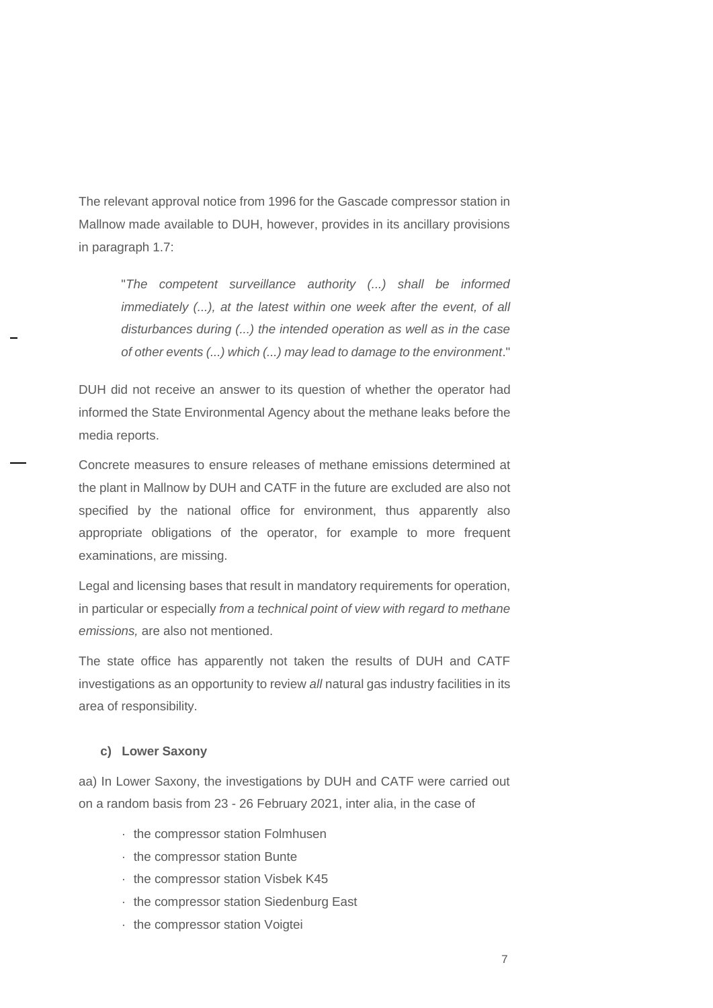The relevant approval notice from 1996 for the Gascade compressor station in Mallnow made available to DUH, however, provides in its ancillary provisions in paragraph 1.7:

"*The competent surveillance authority (...) shall be informed immediately (...), at the latest within one week after the event, of all disturbances during (...) the intended operation as well as in the case of other events (...) which (...) may lead to damage to the environment*."

DUH did not receive an answer to its question of whether the operator had informed the State Environmental Agency about the methane leaks before the media reports.

Concrete measures to ensure releases of methane emissions determined at the plant in Mallnow by DUH and CATF in the future are excluded are also not specified by the national office for environment, thus apparently also appropriate obligations of the operator, for example to more frequent examinations, are missing.

Legal and licensing bases that result in mandatory requirements for operation, in particular or especially *from a technical point of view with regard to methane emissions,* are also not mentioned.

The state office has apparently not taken the results of DUH and CATF investigations as an opportunity to review *all* natural gas industry facilities in its area of responsibility.

#### **c) Lower Saxony**

aa) In Lower Saxony, the investigations by DUH and CATF were carried out on a random basis from 23 - 26 February 2021, inter alia, in the case of

- · the compressor station Folmhusen
- · the compressor station Bunte
- · the compressor station Visbek K45
- · the compressor station Siedenburg East
- · the compressor station Voigtei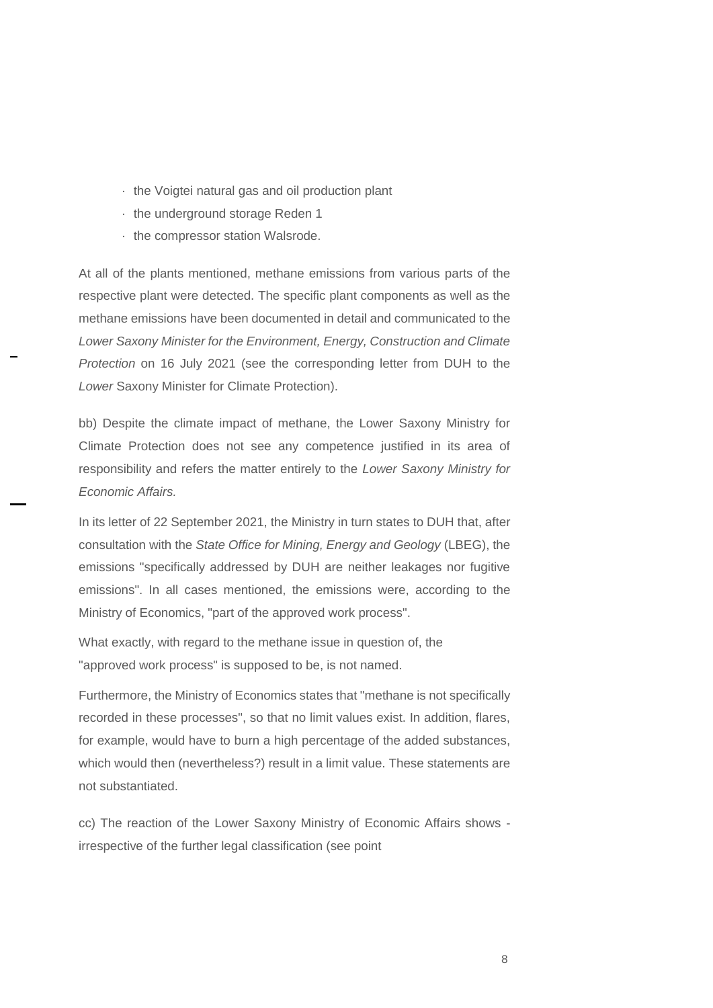- · the Voigtei natural gas and oil production plant
- · the underground storage Reden 1
- · the compressor station Walsrode.

At all of the plants mentioned, methane emissions from various parts of the respective plant were detected. The specific plant components as well as the methane emissions have been documented in detail and communicated to the *Lower Saxony Minister for the Environment, Energy, Construction and Climate Protection* on 16 July 2021 (see the corresponding letter from DUH to the *Lower* Saxony Minister for Climate Protection).

bb) Despite the climate impact of methane, the Lower Saxony Ministry for Climate Protection does not see any competence justified in its area of responsibility and refers the matter entirely to the *Lower Saxony Ministry for Economic Affairs.* 

In its letter of 22 September 2021, the Ministry in turn states to DUH that, after consultation with the *State Office for Mining, Energy and Geology* (LBEG), the emissions "specifically addressed by DUH are neither leakages nor fugitive emissions". In all cases mentioned, the emissions were, according to the Ministry of Economics, "part of the approved work process".

What exactly, with regard to the methane issue in question of, the "approved work process" is supposed to be, is not named.

Furthermore, the Ministry of Economics states that "methane is not specifically recorded in these processes", so that no limit values exist. In addition, flares, for example, would have to burn a high percentage of the added substances, which would then (nevertheless?) result in a limit value. These statements are not substantiated.

cc) The reaction of the Lower Saxony Ministry of Economic Affairs shows irrespective of the further legal classification (see point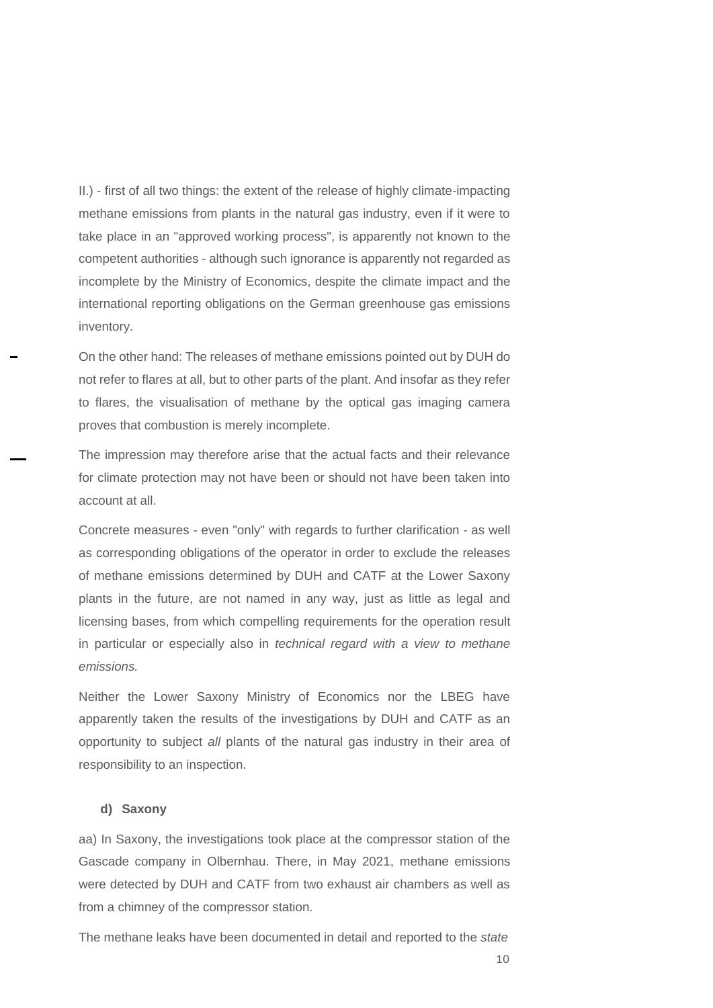II.) - first of all two things: the extent of the release of highly climate-impacting methane emissions from plants in the natural gas industry, even if it were to take place in an "approved working process", is apparently not known to the competent authorities - although such ignorance is apparently not regarded as incomplete by the Ministry of Economics, despite the climate impact and the international reporting obligations on the German greenhouse gas emissions inventory.

On the other hand: The releases of methane emissions pointed out by DUH do not refer to flares at all, but to other parts of the plant. And insofar as they refer to flares, the visualisation of methane by the optical gas imaging camera proves that combustion is merely incomplete.

The impression may therefore arise that the actual facts and their relevance for climate protection may not have been or should not have been taken into account at all.

Concrete measures - even "only" with regards to further clarification - as well as corresponding obligations of the operator in order to exclude the releases of methane emissions determined by DUH and CATF at the Lower Saxony plants in the future, are not named in any way, just as little as legal and licensing bases, from which compelling requirements for the operation result in particular or especially also in *technical regard with a view to methane emissions.* 

Neither the Lower Saxony Ministry of Economics nor the LBEG have apparently taken the results of the investigations by DUH and CATF as an opportunity to subject *all* plants of the natural gas industry in their area of responsibility to an inspection.

#### **d) Saxony**

aa) In Saxony, the investigations took place at the compressor station of the Gascade company in Olbernhau. There, in May 2021, methane emissions were detected by DUH and CATF from two exhaust air chambers as well as from a chimney of the compressor station.

The methane leaks have been documented in detail and reported to the *state*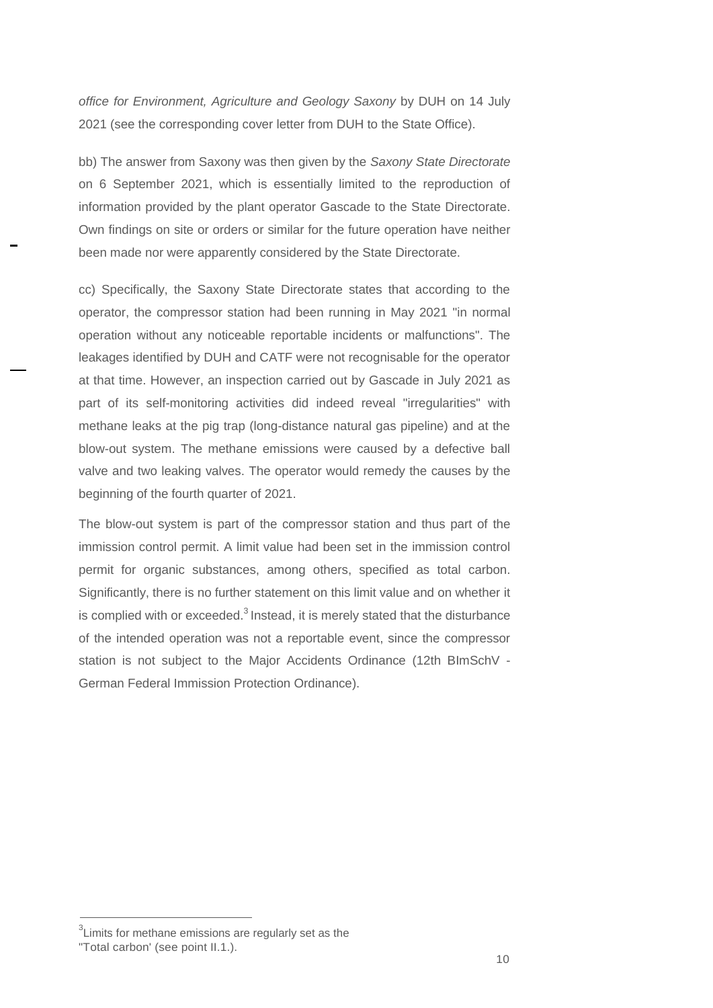*office for Environment, Agriculture and Geology Saxony* by DUH on 14 July 2021 (see the corresponding cover letter from DUH to the State Office).

bb) The answer from Saxony was then given by the *Saxony State Directorate*  on 6 September 2021, which is essentially limited to the reproduction of information provided by the plant operator Gascade to the State Directorate. Own findings on site or orders or similar for the future operation have neither been made nor were apparently considered by the State Directorate.

cc) Specifically, the Saxony State Directorate states that according to the operator, the compressor station had been running in May 2021 "in normal operation without any noticeable reportable incidents or malfunctions". The leakages identified by DUH and CATF were not recognisable for the operator at that time. However, an inspection carried out by Gascade in July 2021 as part of its self-monitoring activities did indeed reveal "irregularities" with methane leaks at the pig trap (long-distance natural gas pipeline) and at the blow-out system. The methane emissions were caused by a defective ball valve and two leaking valves. The operator would remedy the causes by the beginning of the fourth quarter of 2021.

The blow-out system is part of the compressor station and thus part of the immission control permit. A limit value had been set in the immission control permit for organic substances, among others, specified as total carbon. Significantly, there is no further statement on this limit value and on whether it is complied with or exceeded. $3$  Instead, it is merely stated that the disturbance of the intended operation was not a reportable event, since the compressor station is not subject to the Major Accidents Ordinance (12th BImSchV - German Federal Immission Protection Ordinance).

 $3$ Limits for methane emissions are regularly set as the

<sup>&</sup>quot;Total carbon' (see point II.1.).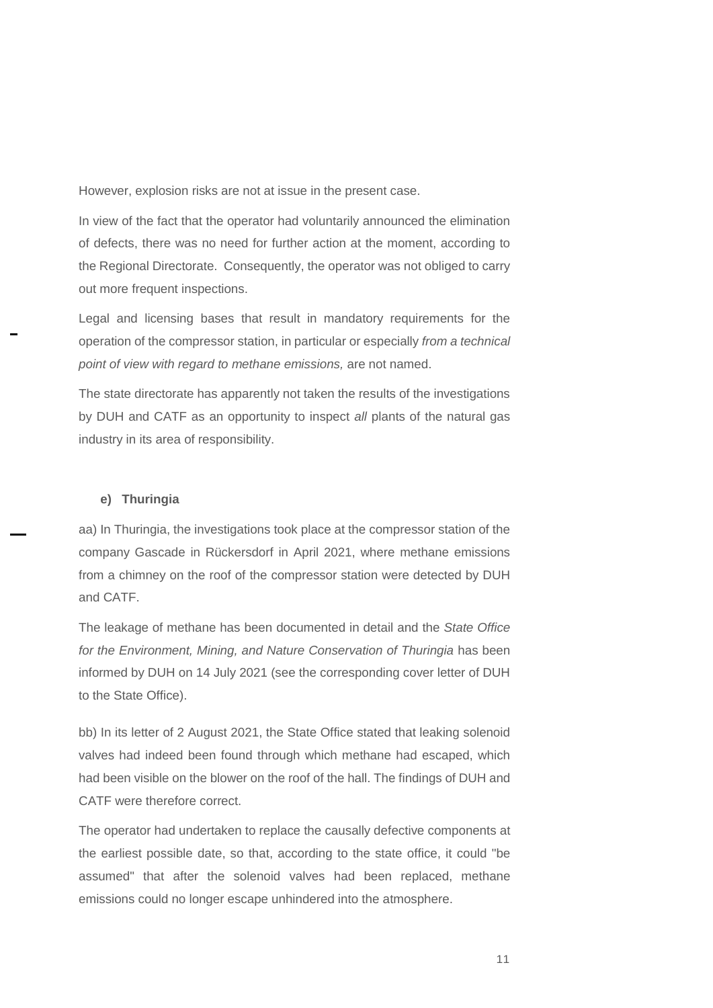However, explosion risks are not at issue in the present case.

In view of the fact that the operator had voluntarily announced the elimination of defects, there was no need for further action at the moment, according to the Regional Directorate. Consequently, the operator was not obliged to carry out more frequent inspections.

Legal and licensing bases that result in mandatory requirements for the operation of the compressor station, in particular or especially *from a technical point of view with regard to methane emissions,* are not named.

The state directorate has apparently not taken the results of the investigations by DUH and CATF as an opportunity to inspect *all* plants of the natural gas industry in its area of responsibility.

## **e) Thuringia**

aa) In Thuringia, the investigations took place at the compressor station of the company Gascade in Rückersdorf in April 2021, where methane emissions from a chimney on the roof of the compressor station were detected by DUH and CATF.

The leakage of methane has been documented in detail and the *State Office*  for the Environment, Mining, and Nature Conservation of Thuringia has been informed by DUH on 14 July 2021 (see the corresponding cover letter of DUH to the State Office).

bb) In its letter of 2 August 2021, the State Office stated that leaking solenoid valves had indeed been found through which methane had escaped, which had been visible on the blower on the roof of the hall. The findings of DUH and CATF were therefore correct.

The operator had undertaken to replace the causally defective components at the earliest possible date, so that, according to the state office, it could "be assumed" that after the solenoid valves had been replaced, methane emissions could no longer escape unhindered into the atmosphere.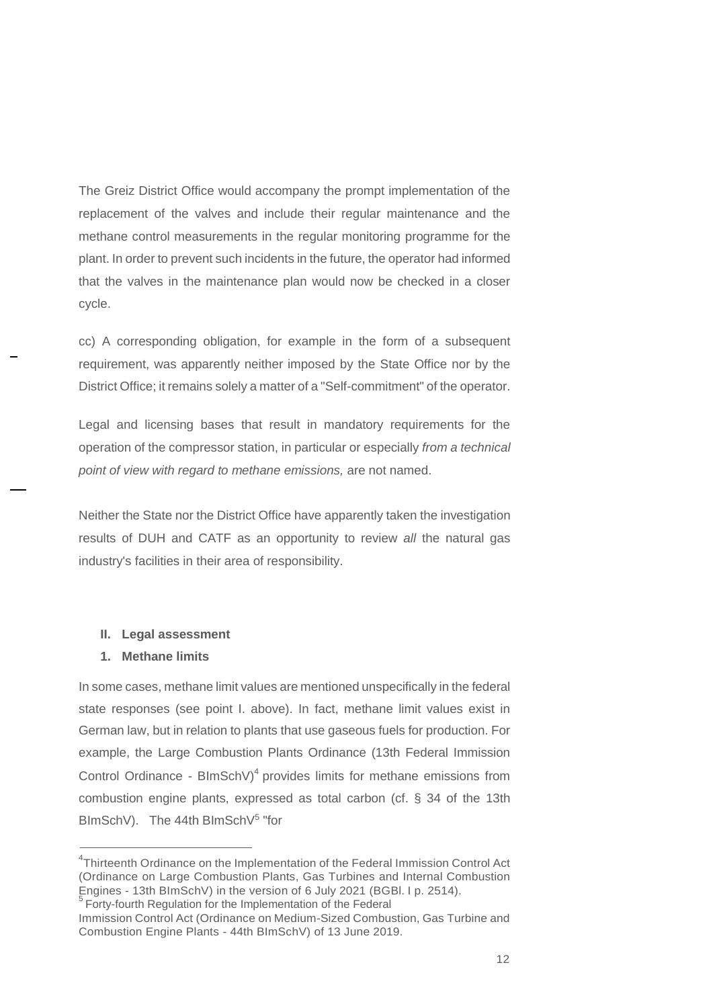The Greiz District Office would accompany the prompt implementation of the replacement of the valves and include their regular maintenance and the methane control measurements in the regular monitoring programme for the plant. In order to prevent such incidents in the future, the operator had informed that the valves in the maintenance plan would now be checked in a closer cycle.

cc) A corresponding obligation, for example in the form of a subsequent requirement, was apparently neither imposed by the State Office nor by the District Office; it remains solely a matter of a "Self-commitment" of the operator.

Legal and licensing bases that result in mandatory requirements for the operation of the compressor station, in particular or especially *from a technical point of view with regard to methane emissions,* are not named.

Neither the State nor the District Office have apparently taken the investigation results of DUH and CATF as an opportunity to review *all* the natural gas industry's facilities in their area of responsibility.

#### **II. Legal assessment**

#### **1. Methane limits**

In some cases, methane limit values are mentioned unspecifically in the federal state responses (see point I. above). In fact, methane limit values exist in German law, but in relation to plants that use gaseous fuels for production. For example, the Large Combustion Plants Ordinance (13th Federal Immission Control Ordinance -  $B\text{ImSchV}$ <sup>4</sup> provides limits for methane emissions from combustion engine plants, expressed as total carbon (cf. § 34 of the 13th BlmSchV). The 44th BlmSchV<sup>5</sup> "for

<sup>&</sup>lt;sup>4</sup>Thirteenth Ordinance on the Implementation of the Federal Immission Control Act (Ordinance on Large Combustion Plants, Gas Turbines and Internal Combustion Engines - 13th BImSchV) in the version of 6 July 2021 (BGBl. I p. 2514).

<sup>&</sup>lt;sup>5</sup> Forty-fourth Regulation for the Implementation of the Federal

Immission Control Act (Ordinance on Medium-Sized Combustion, Gas Turbine and Combustion Engine Plants - 44th BImSchV) of 13 June 2019.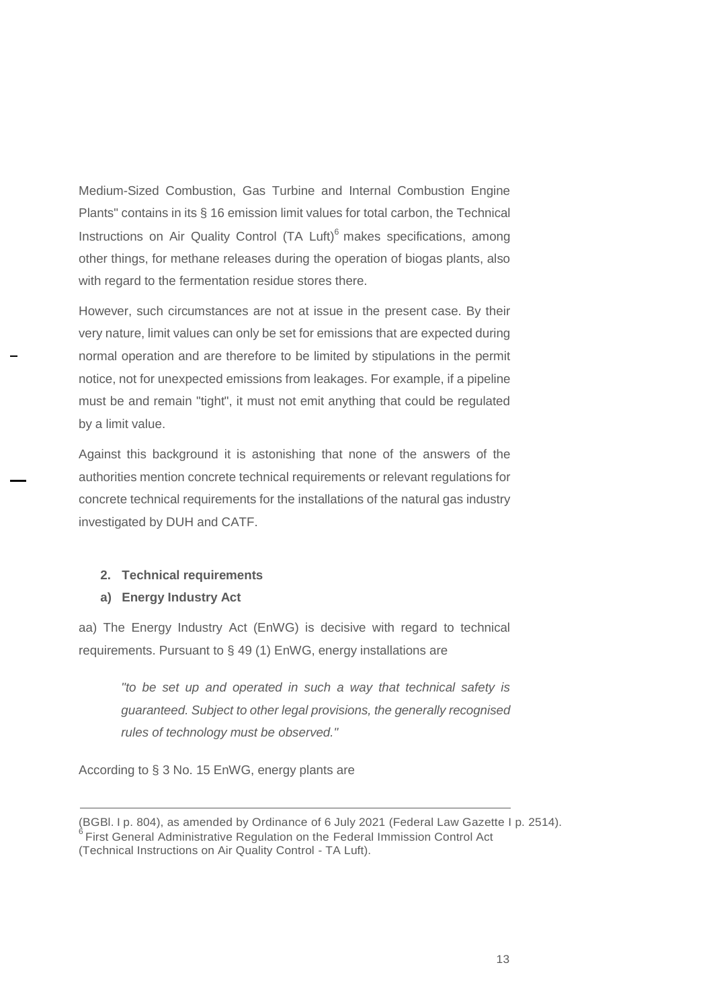Medium-Sized Combustion, Gas Turbine and Internal Combustion Engine Plants" contains in its § 16 emission limit values for total carbon, the Technical Instructions on Air Quality Control (TA Luft)<sup>6</sup> makes specifications, among other things, for methane releases during the operation of biogas plants, also with regard to the fermentation residue stores there.

However, such circumstances are not at issue in the present case. By their very nature, limit values can only be set for emissions that are expected during normal operation and are therefore to be limited by stipulations in the permit notice, not for unexpected emissions from leakages. For example, if a pipeline must be and remain "tight", it must not emit anything that could be regulated by a limit value.

Against this background it is astonishing that none of the answers of the authorities mention concrete technical requirements or relevant regulations for concrete technical requirements for the installations of the natural gas industry investigated by DUH and CATF.

## **2. Technical requirements**

## **a) Energy Industry Act**

aa) The Energy Industry Act (EnWG) is decisive with regard to technical requirements. Pursuant to § 49 (1) EnWG, energy installations are

*"to be set up and operated in such a way that technical safety is guaranteed. Subject to other legal provisions, the generally recognised rules of technology must be observed."*

According to § 3 No. 15 EnWG, energy plants are

<sup>(</sup>BGBl. I p. 804), as amended by Ordinance of 6 July 2021 (Federal Law Gazette I p. 2514). First General Administrative Regulation on the Federal Immission Control Act (Technical Instructions on Air Quality Control - TA Luft).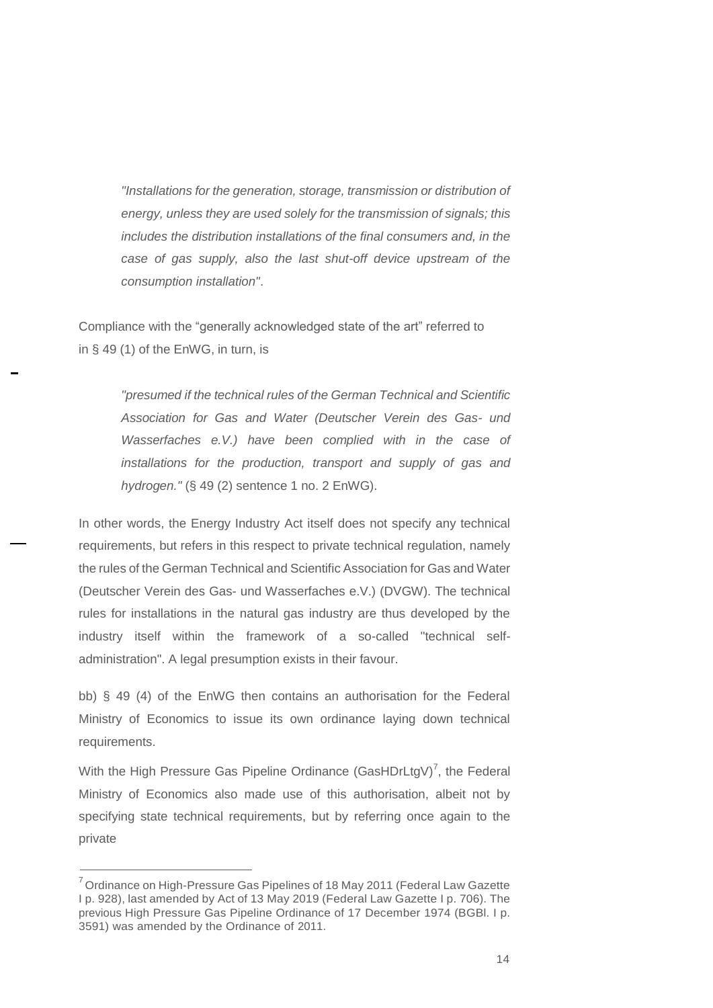*"Installations for the generation, storage, transmission or distribution of energy, unless they are used solely for the transmission of signals; this includes the distribution installations of the final consumers and, in the case of gas supply, also the last shut-off device upstream of the consumption installation"*.

Compliance with the "generally acknowledged state of the art" referred to in § 49 (1) of the EnWG, in turn, is

> *"presumed if the technical rules of the German Technical and Scientific Association for Gas and Water (Deutscher Verein des Gas- und Wasserfaches e.V.) have been complied with in the case of installations for the production, transport and supply of gas and hydrogen."* (§ 49 (2) sentence 1 no. 2 EnWG).

In other words, the Energy Industry Act itself does not specify any technical requirements, but refers in this respect to private technical regulation, namely the rules of the German Technical and Scientific Association for Gas and Water (Deutscher Verein des Gas- und Wasserfaches e.V.) (DVGW). The technical rules for installations in the natural gas industry are thus developed by the industry itself within the framework of a so-called "technical selfadministration". A legal presumption exists in their favour.

bb) § 49 (4) of the EnWG then contains an authorisation for the Federal Ministry of Economics to issue its own ordinance laying down technical requirements.

With the High Pressure Gas Pipeline Ordinance (GasHDrLtgV)<sup>7</sup>, the Federal Ministry of Economics also made use of this authorisation, albeit not by specifying state technical requirements, but by referring once again to the private

 $7$ Ordinance on High-Pressure Gas Pipelines of 18 May 2011 (Federal Law Gazette I p. 928), last amended by Act of 13 May 2019 (Federal Law Gazette I p. 706). The previous High Pressure Gas Pipeline Ordinance of 17 December 1974 (BGBl. I p. 3591) was amended by the Ordinance of 2011.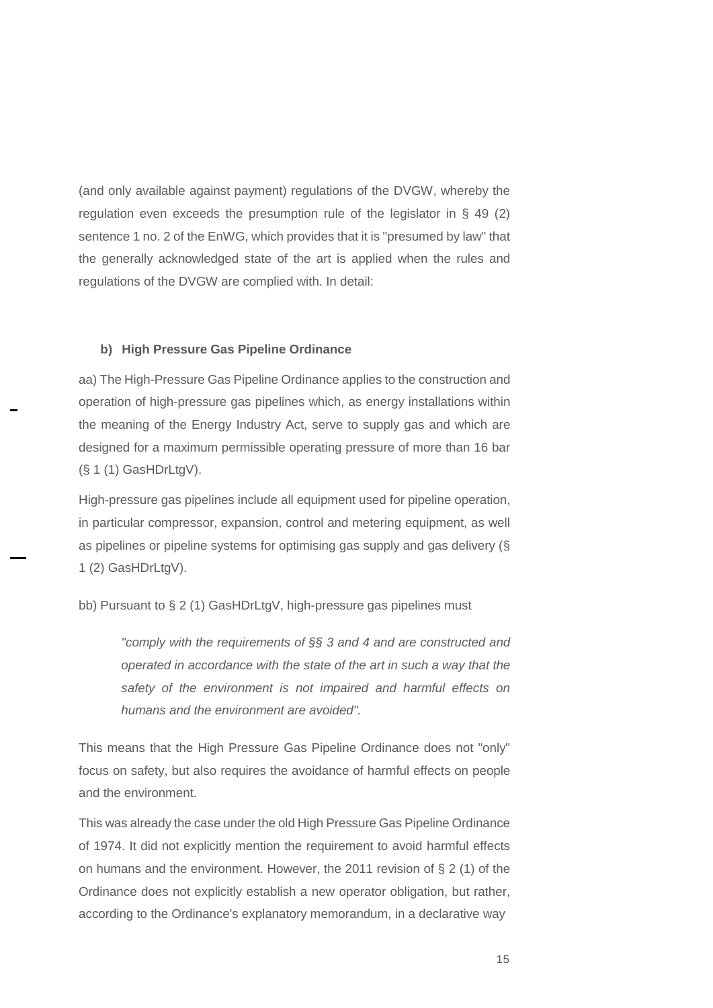(and only available against payment) regulations of the DVGW, whereby the regulation even exceeds the presumption rule of the legislator in § 49 (2) sentence 1 no. 2 of the EnWG, which provides that it is "presumed by law" that the generally acknowledged state of the art is applied when the rules and regulations of the DVGW are complied with. In detail:

#### **b) High Pressure Gas Pipeline Ordinance**

aa) The High-Pressure Gas Pipeline Ordinance applies to the construction and operation of high-pressure gas pipelines which, as energy installations within the meaning of the Energy Industry Act, serve to supply gas and which are designed for a maximum permissible operating pressure of more than 16 bar (§ 1 (1) GasHDrLtgV).

High-pressure gas pipelines include all equipment used for pipeline operation, in particular compressor, expansion, control and metering equipment, as well as pipelines or pipeline systems for optimising gas supply and gas delivery (§ 1 (2) GasHDrLtgV).

bb) Pursuant to § 2 (1) GasHDrLtgV, high-pressure gas pipelines must

*"comply with the requirements of §§ 3 and 4 and are constructed and operated in accordance with the state of the art in such a way that the safety of the environment is not impaired and harmful effects on humans and the environment are avoided".* 

This means that the High Pressure Gas Pipeline Ordinance does not "only" focus on safety, but also requires the avoidance of harmful effects on people and the environment.

This was already the case under the old High Pressure Gas Pipeline Ordinance of 1974. It did not explicitly mention the requirement to avoid harmful effects on humans and the environment. However, the 2011 revision of § 2 (1) of the Ordinance does not explicitly establish a new operator obligation, but rather, according to the Ordinance's explanatory memorandum, in a declarative way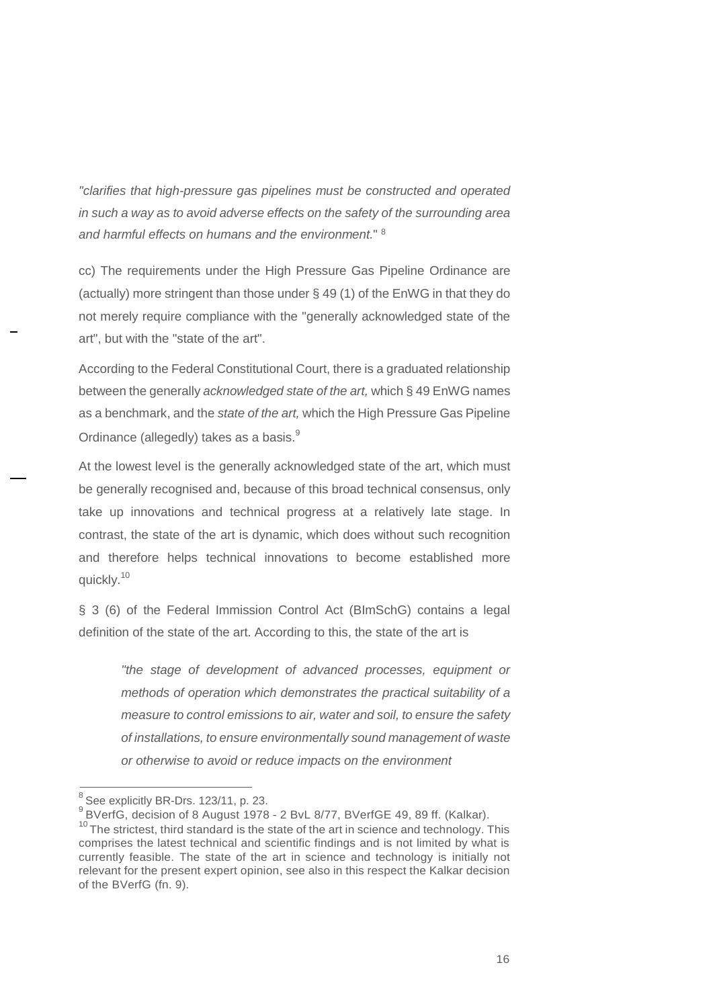*"clarifies that high-pressure gas pipelines must be constructed and operated in such a way as to avoid adverse effects on the safety of the surrounding area and harmful effects on humans and the environment.*" <sup>8</sup>

cc) The requirements under the High Pressure Gas Pipeline Ordinance are (actually) more stringent than those under § 49 (1) of the EnWG in that they do not merely require compliance with the "generally acknowledged state of the art", but with the "state of the art".

According to the Federal Constitutional Court, there is a graduated relationship between the generally *acknowledged state of the art,* which § 49 EnWG names as a benchmark, and the *state of the art,* which the High Pressure Gas Pipeline Ordinance (allegedly) takes as a basis.<sup>9</sup>

At the lowest level is the generally acknowledged state of the art, which must be generally recognised and, because of this broad technical consensus, only take up innovations and technical progress at a relatively late stage. In contrast, the state of the art is dynamic, which does without such recognition and therefore helps technical innovations to become established more quickly.<sup>10</sup>

§ 3 (6) of the Federal Immission Control Act (BImSchG) contains a legal definition of the state of the art. According to this, the state of the art is

*"the stage of development of advanced processes, equipment or methods of operation which demonstrates the practical suitability of a measure to control emissions to air, water and soil, to ensure the safety of installations, to ensure environmentally sound management of waste or otherwise to avoid or reduce impacts on the environment*

 $8$  See explicitly BR-Drs. 123/11, p. 23.

 $^{9}$  BVerfG, decision of 8 August 1978 - 2 BvL 8/77, BVerfGE 49, 89 ff. (Kalkar).

 $10$  The strictest, third standard is the state of the art in science and technology. This comprises the latest technical and scientific findings and is not limited by what is currently feasible. The state of the art in science and technology is initially not relevant for the present expert opinion, see also in this respect the Kalkar decision of the BVerfG (fn. 9).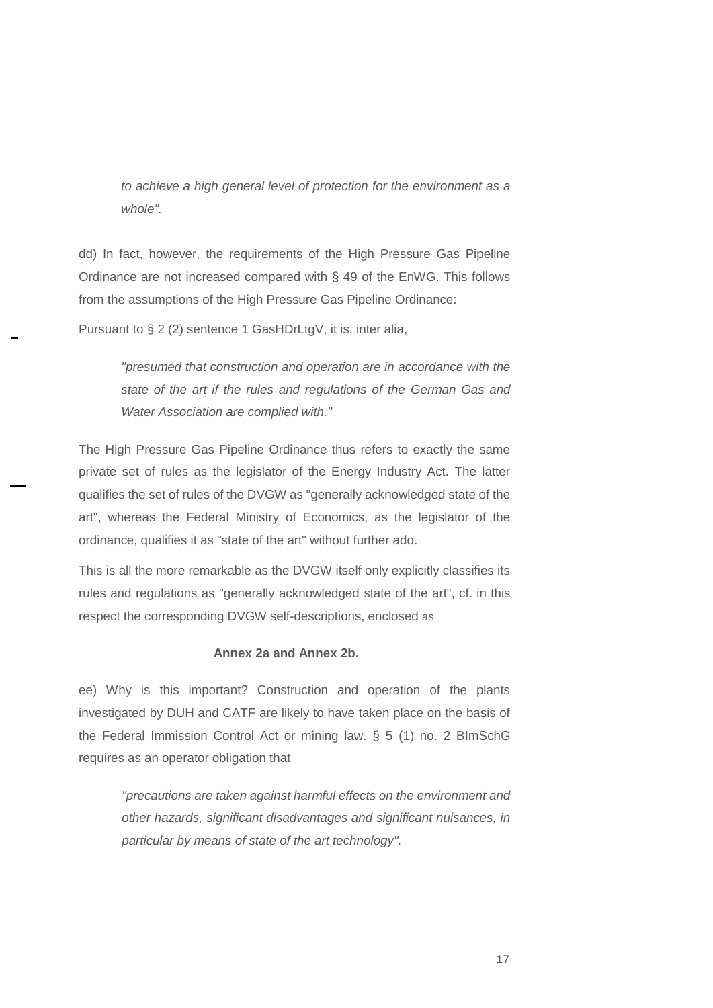*to achieve a high general level of protection for the environment as a whole".* 

dd) In fact, however, the requirements of the High Pressure Gas Pipeline Ordinance are not increased compared with § 49 of the EnWG. This follows from the assumptions of the High Pressure Gas Pipeline Ordinance:

Pursuant to § 2 (2) sentence 1 GasHDrLtgV, it is, inter alia,

*"presumed that construction and operation are in accordance with the state of the art if the rules and regulations of the German Gas and Water Association are complied with."* 

The High Pressure Gas Pipeline Ordinance thus refers to exactly the same private set of rules as the legislator of the Energy Industry Act. The latter qualifies the set of rules of the DVGW as "generally acknowledged state of the art", whereas the Federal Ministry of Economics, as the legislator of the ordinance, qualifies it as "state of the art" without further ado.

This is all the more remarkable as the DVGW itself only explicitly classifies its rules and regulations as "generally acknowledged state of the art", cf. in this respect the corresponding DVGW self-descriptions, enclosed as

## **Annex 2a and Annex 2b.**

ee) Why is this important? Construction and operation of the plants investigated by DUH and CATF are likely to have taken place on the basis of the Federal Immission Control Act or mining law. § 5 (1) no. 2 BImSchG requires as an operator obligation that

*"precautions are taken against harmful effects on the environment and other hazards, significant disadvantages and significant nuisances, in particular by means of state of the art technology".*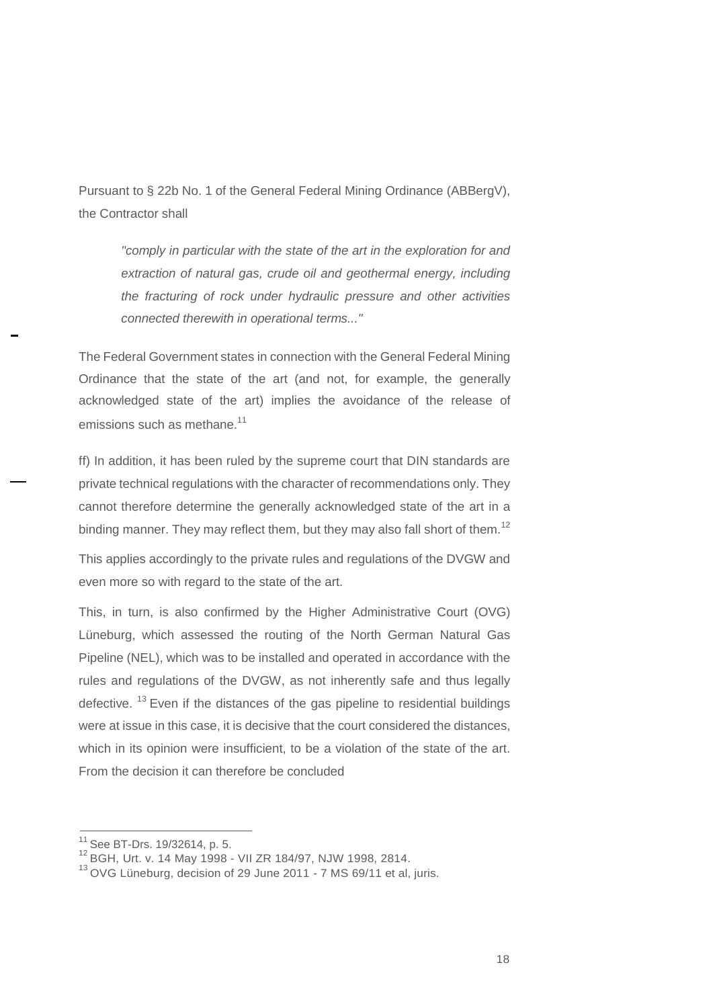Pursuant to § 22b No. 1 of the General Federal Mining Ordinance (ABBergV), the Contractor shall

*"comply in particular with the state of the art in the exploration for and extraction of natural gas, crude oil and geothermal energy, including the fracturing of rock under hydraulic pressure and other activities connected therewith in operational terms..."* 

The Federal Government states in connection with the General Federal Mining Ordinance that the state of the art (and not, for example, the generally acknowledged state of the art) implies the avoidance of the release of emissions such as methane.<sup>11</sup>

ff) In addition, it has been ruled by the supreme court that DIN standards are private technical regulations with the character of recommendations only. They cannot therefore determine the generally acknowledged state of the art in a binding manner. They may reflect them, but they may also fall short of them.<sup>12</sup>

This applies accordingly to the private rules and regulations of the DVGW and even more so with regard to the state of the art.

This, in turn, is also confirmed by the Higher Administrative Court (OVG) Lüneburg, which assessed the routing of the North German Natural Gas Pipeline (NEL), which was to be installed and operated in accordance with the rules and regulations of the DVGW, as not inherently safe and thus legally defective.  $13$  Even if the distances of the gas pipeline to residential buildings were at issue in this case, it is decisive that the court considered the distances, which in its opinion were insufficient, to be a violation of the state of the art. From the decision it can therefore be concluded

 $11$  See BT-Drs. 19/32614, p. 5.

<sup>12</sup> BGH, Urt. v. 14 May 1998 - VII ZR 184/97, NJW 1998, 2814.

<sup>&</sup>lt;sup>13</sup> OVG Lüneburg, decision of 29 June 2011 - 7 MS 69/11 et al, juris.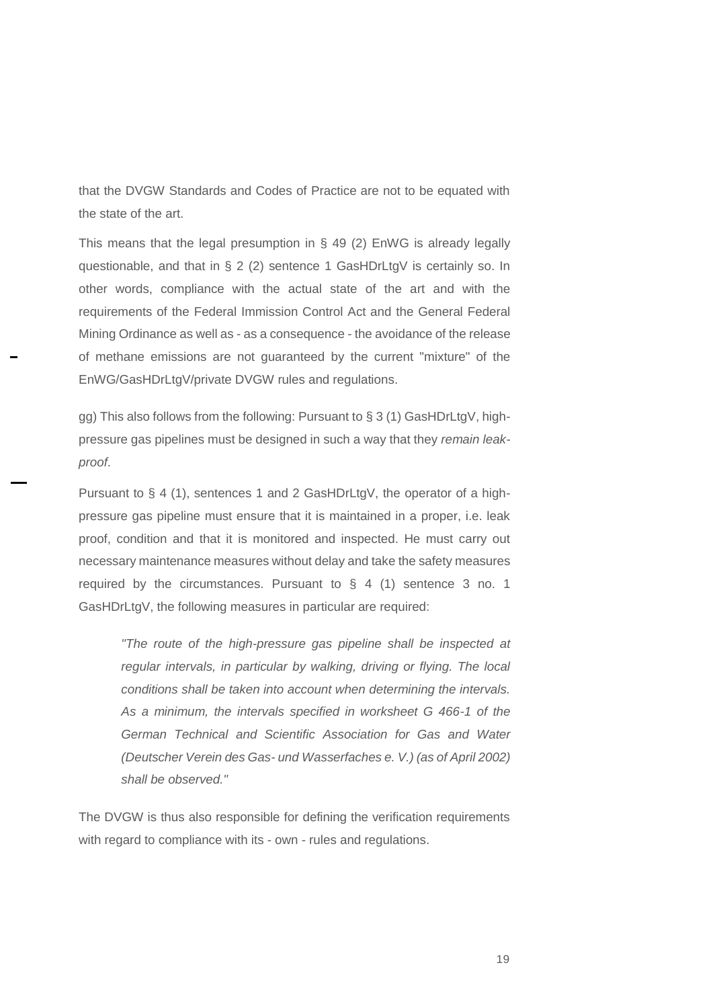that the DVGW Standards and Codes of Practice are not to be equated with the state of the art.

This means that the legal presumption in § 49 (2) EnWG is already legally questionable, and that in § 2 (2) sentence 1 GasHDrLtgV is certainly so. In other words, compliance with the actual state of the art and with the requirements of the Federal Immission Control Act and the General Federal Mining Ordinance as well as - as a consequence - the avoidance of the release of methane emissions are not guaranteed by the current "mixture" of the EnWG/GasHDrLtgV/private DVGW rules and regulations.

gg) This also follows from the following: Pursuant to  $\S 3$  (1) GasHDrLtgV, highpressure gas pipelines must be designed in such a way that they *remain leakproof*.

Pursuant to § 4 (1), sentences 1 and 2 GasHDrLtgV, the operator of a highpressure gas pipeline must ensure that it is maintained in a proper, i.e. leak proof, condition and that it is monitored and inspected. He must carry out necessary maintenance measures without delay and take the safety measures required by the circumstances. Pursuant to § 4 (1) sentence 3 no. 1 GasHDrLtgV, the following measures in particular are required:

*"The route of the high-pressure gas pipeline shall be inspected at regular intervals, in particular by walking, driving or flying. The local conditions shall be taken into account when determining the intervals. As a minimum, the intervals specified in worksheet G 466-1 of the German Technical and Scientific Association for Gas and Water (Deutscher Verein des Gas- und Wasserfaches e. V.) (as of April 2002) shall be observed."* 

The DVGW is thus also responsible for defining the verification requirements with regard to compliance with its - own - rules and regulations.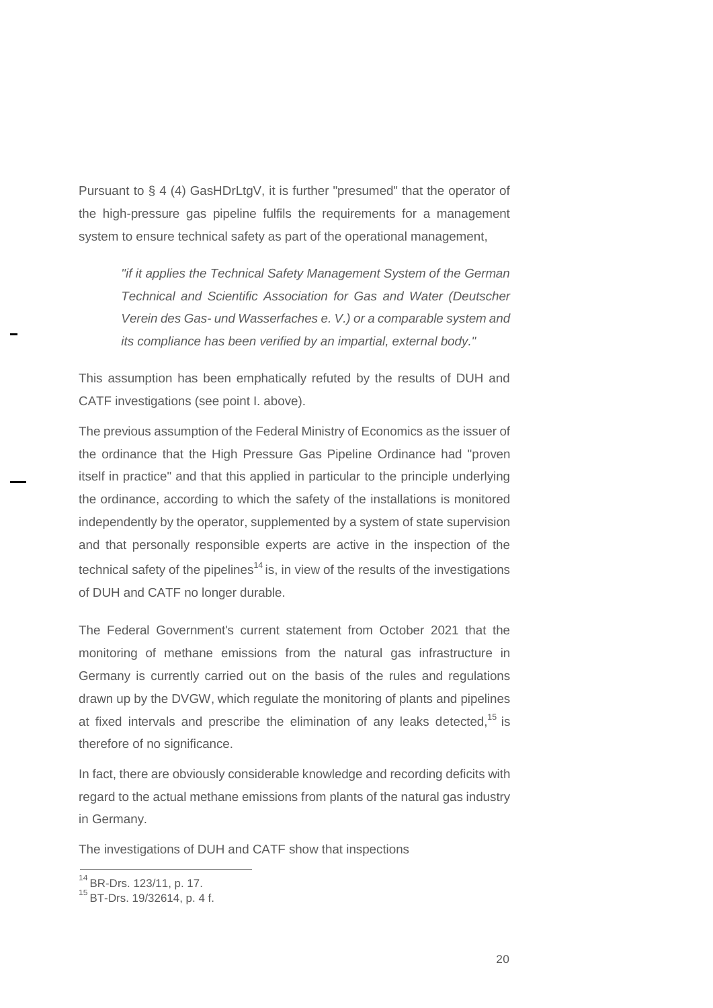Pursuant to § 4 (4) GasHDrLtgV, it is further "presumed" that the operator of the high-pressure gas pipeline fulfils the requirements for a management system to ensure technical safety as part of the operational management,

*"if it applies the Technical Safety Management System of the German Technical and Scientific Association for Gas and Water (Deutscher Verein des Gas- und Wasserfaches e. V.) or a comparable system and its compliance has been verified by an impartial, external body."* 

This assumption has been emphatically refuted by the results of DUH and CATF investigations (see point I. above).

The previous assumption of the Federal Ministry of Economics as the issuer of the ordinance that the High Pressure Gas Pipeline Ordinance had "proven itself in practice" and that this applied in particular to the principle underlying the ordinance, according to which the safety of the installations is monitored independently by the operator, supplemented by a system of state supervision and that personally responsible experts are active in the inspection of the technical safety of the pipelines<sup>14</sup> is, in view of the results of the investigations of DUH and CATF no longer durable.

The Federal Government's current statement from October 2021 that the monitoring of methane emissions from the natural gas infrastructure in Germany is currently carried out on the basis of the rules and regulations drawn up by the DVGW, which regulate the monitoring of plants and pipelines at fixed intervals and prescribe the elimination of any leaks detected,  $15$  is therefore of no significance.

In fact, there are obviously considerable knowledge and recording deficits with regard to the actual methane emissions from plants of the natural gas industry in Germany.

The investigations of DUH and CATF show that inspections

<sup>14</sup> BR-Drs. 123/11, p. 17.

<sup>15</sup> BT-Drs. 19/32614, p. 4 f.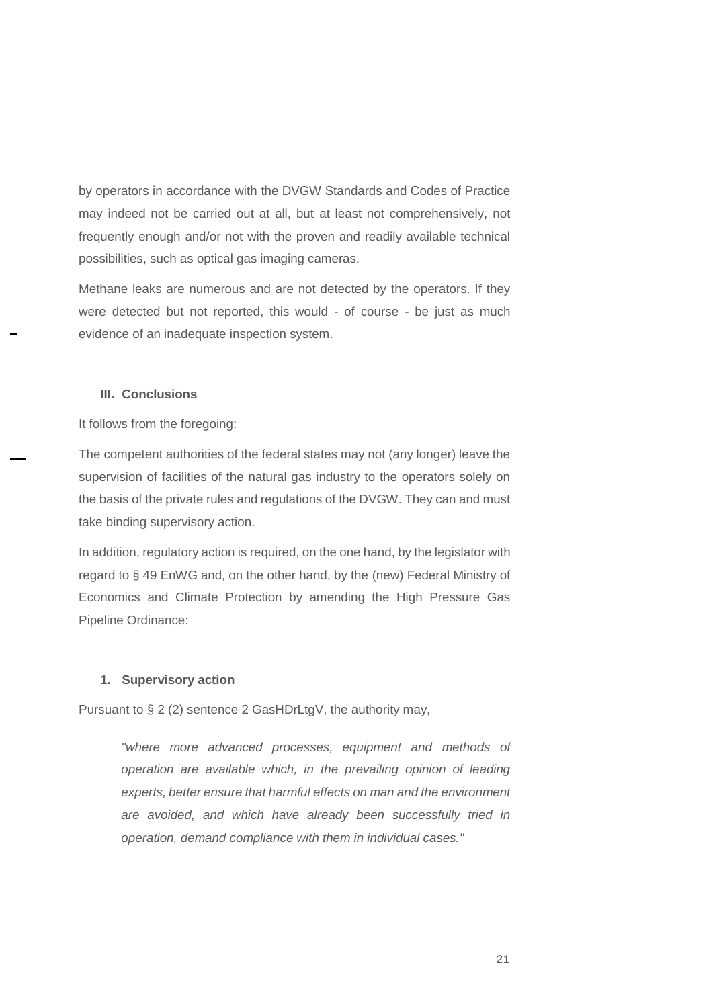by operators in accordance with the DVGW Standards and Codes of Practice may indeed not be carried out at all, but at least not comprehensively, not frequently enough and/or not with the proven and readily available technical possibilities, such as optical gas imaging cameras.

Methane leaks are numerous and are not detected by the operators. If they were detected but not reported, this would - of course - be just as much evidence of an inadequate inspection system.

## **III. Conclusions**

It follows from the foregoing:

The competent authorities of the federal states may not (any longer) leave the supervision of facilities of the natural gas industry to the operators solely on the basis of the private rules and regulations of the DVGW. They can and must take binding supervisory action.

In addition, regulatory action is required, on the one hand, by the legislator with regard to § 49 EnWG and, on the other hand, by the (new) Federal Ministry of Economics and Climate Protection by amending the High Pressure Gas Pipeline Ordinance:

## **1. Supervisory action**

Pursuant to § 2 (2) sentence 2 GasHDrLtgV, the authority may,

*"where more advanced processes, equipment and methods of operation are available which, in the prevailing opinion of leading experts, better ensure that harmful effects on man and the environment are avoided, and which have already been successfully tried in operation, demand compliance with them in individual cases."*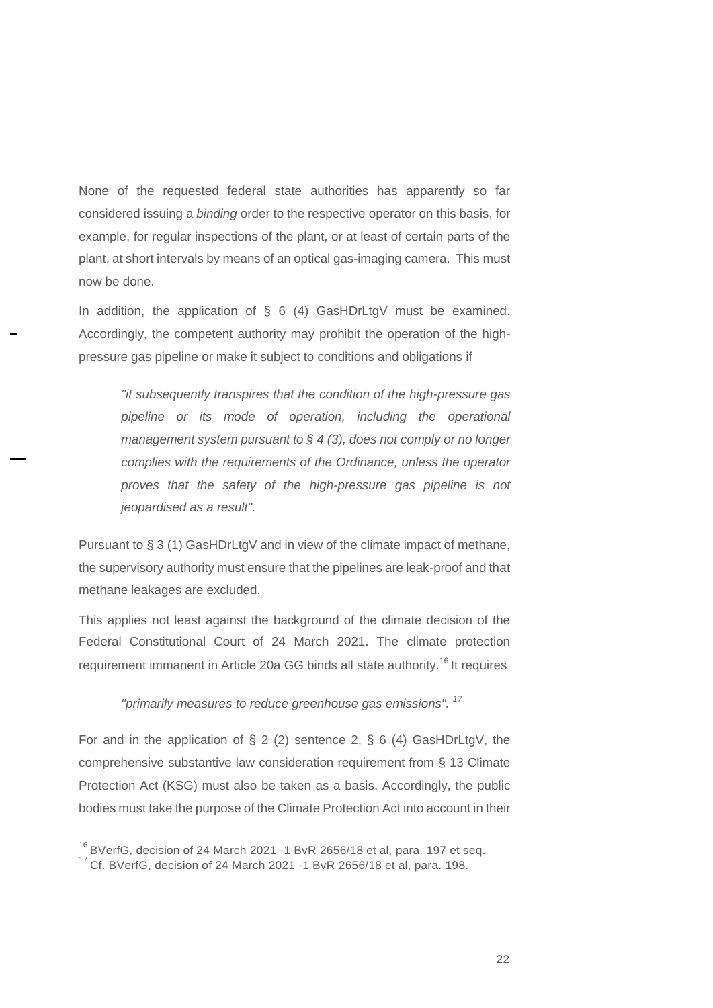None of the requested federal state authorities has apparently so far considered issuing a *binding* order to the respective operator on this basis, for example, for regular inspections of the plant, or at least of certain parts of the plant, at short intervals by means of an optical gas-imaging camera. This must now be done.

In addition, the application of  $\S$  6 (4) GasHDrLtgV must be examined. Accordingly, the competent authority may prohibit the operation of the highpressure gas pipeline or make it subject to conditions and obligations if

> *"it subsequently transpires that the condition of the high-pressure gas pipeline or its mode of operation, including the operational management system pursuant to § 4 (3), does not comply or no longer complies with the requirements of the Ordinance, unless the operator proves that the safety of the high-pressure gas pipeline is not jeopardised as a result".*

Pursuant to § 3 (1) GasHDrLtgV and in view of the climate impact of methane, the supervisory authority must ensure that the pipelines are leak-proof and that methane leakages are excluded.

This applies not least against the background of the climate decision of the Federal Constitutional Court of 24 March 2021. The climate protection requirement immanent in Article 20a GG binds all state authority.<sup>16</sup> It requires

## *"primarily measures to reduce greenhouse gas emissions". <sup>17</sup>*

For and in the application of  $\S 2$  (2) sentence 2,  $\S 6$  (4) GasHDrLtgV, the comprehensive substantive law consideration requirement from § 13 Climate Protection Act (KSG) must also be taken as a basis. Accordingly, the public bodies must take the purpose of the Climate Protection Act into account in their

<sup>16</sup> BVerfG, decision of 24 March 2021 -1 BvR 2656/18 et al, para. 197 et seq.

<sup>&</sup>lt;sup>17</sup> Cf. BVerfG, decision of 24 March 2021 -1 BvR 2656/18 et al, para. 198.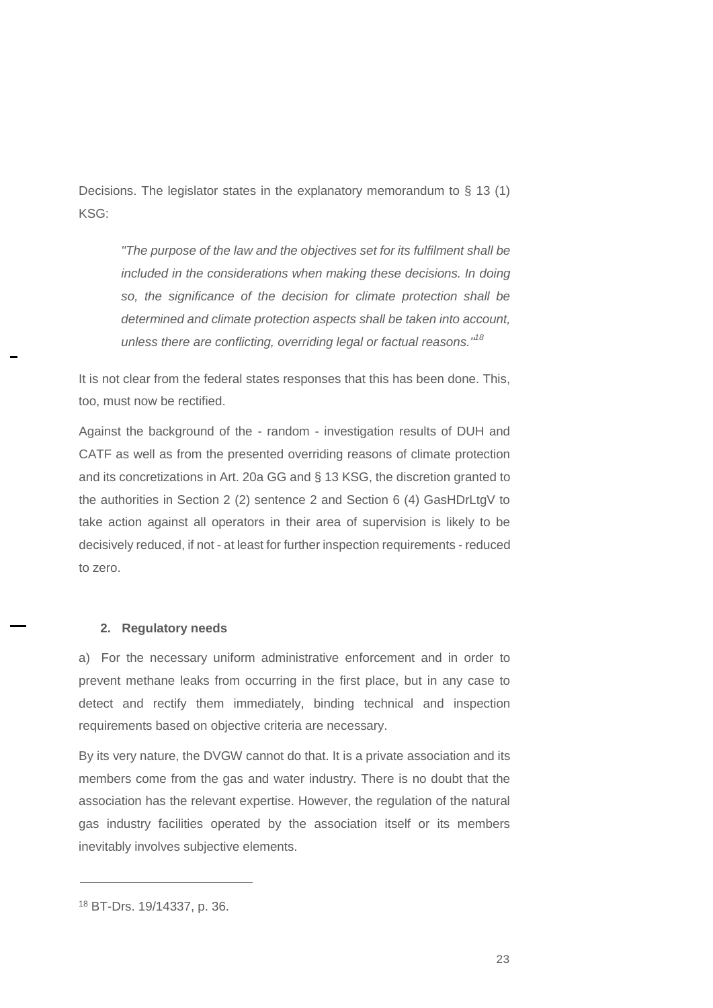Decisions. The legislator states in the explanatory memorandum to § 13 (1) KSG:

*"The purpose of the law and the objectives set for its fulfilment shall be included in the considerations when making these decisions. In doing so, the significance of the decision for climate protection shall be determined and climate protection aspects shall be taken into account, unless there are conflicting, overriding legal or factual reasons." 18*

It is not clear from the federal states responses that this has been done. This, too, must now be rectified.

Against the background of the - random - investigation results of DUH and CATF as well as from the presented overriding reasons of climate protection and its concretizations in Art. 20a GG and § 13 KSG, the discretion granted to the authorities in Section 2 (2) sentence 2 and Section 6 (4) GasHDrLtgV to take action against all operators in their area of supervision is likely to be decisively reduced, if not - at least for further inspection requirements - reduced to zero.

#### **2. Regulatory needs**

a) For the necessary uniform administrative enforcement and in order to prevent methane leaks from occurring in the first place, but in any case to detect and rectify them immediately, binding technical and inspection requirements based on objective criteria are necessary.

By its very nature, the DVGW cannot do that. It is a private association and its members come from the gas and water industry. There is no doubt that the association has the relevant expertise. However, the regulation of the natural gas industry facilities operated by the association itself or its members inevitably involves subjective elements.

<sup>18</sup> BT-Drs. 19/14337, p. 36.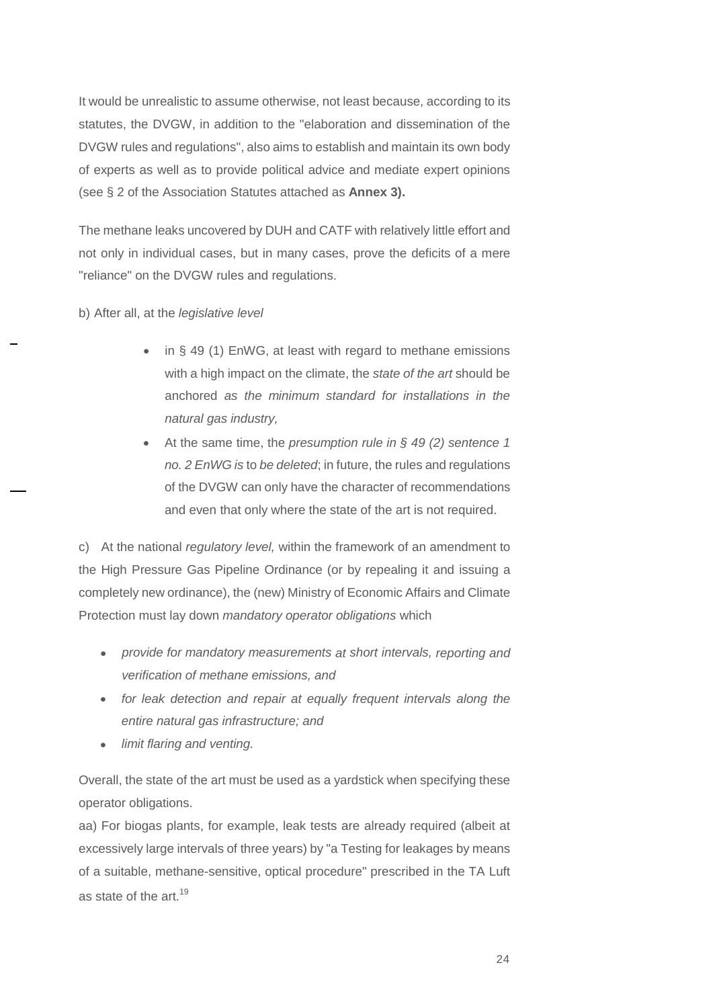It would be unrealistic to assume otherwise, not least because, according to its statutes, the DVGW, in addition to the "elaboration and dissemination of the DVGW rules and regulations", also aims to establish and maintain its own body of experts as well as to provide political advice and mediate expert opinions (see § 2 of the Association Statutes attached as **Annex 3).** 

The methane leaks uncovered by DUH and CATF with relatively little effort and not only in individual cases, but in many cases, prove the deficits of a mere "reliance" on the DVGW rules and regulations.

b) After all, at the *legislative level*

- in § 49 (1) EnWG, at least with regard to methane emissions with a high impact on the climate, the *state of the art* should be anchored *as the minimum standard for installations in the natural gas industry,*
- At the same time, the *presumption rule in § 49 (2) sentence 1 no. 2 EnWG is* to *be deleted*; in future, the rules and regulations of the DVGW can only have the character of recommendations and even that only where the state of the art is not required.

c) At the national *regulatory level,* within the framework of an amendment to the High Pressure Gas Pipeline Ordinance (or by repealing it and issuing a completely new ordinance), the (new) Ministry of Economic Affairs and Climate Protection must lay down *mandatory operator obligations* which

- *provide for mandatory measurements at short intervals, reporting and verification of methane emissions, and*
- *for leak detection and repair at equally frequent intervals along the entire natural gas infrastructure; and*
- *limit flaring and venting.*

Overall, the state of the art must be used as a yardstick when specifying these operator obligations.

aa) For biogas plants, for example, leak tests are already required (albeit at excessively large intervals of three years) by "a Testing for leakages by means of a suitable, methane-sensitive, optical procedure" prescribed in the TA Luft as state of the art.<sup>19</sup>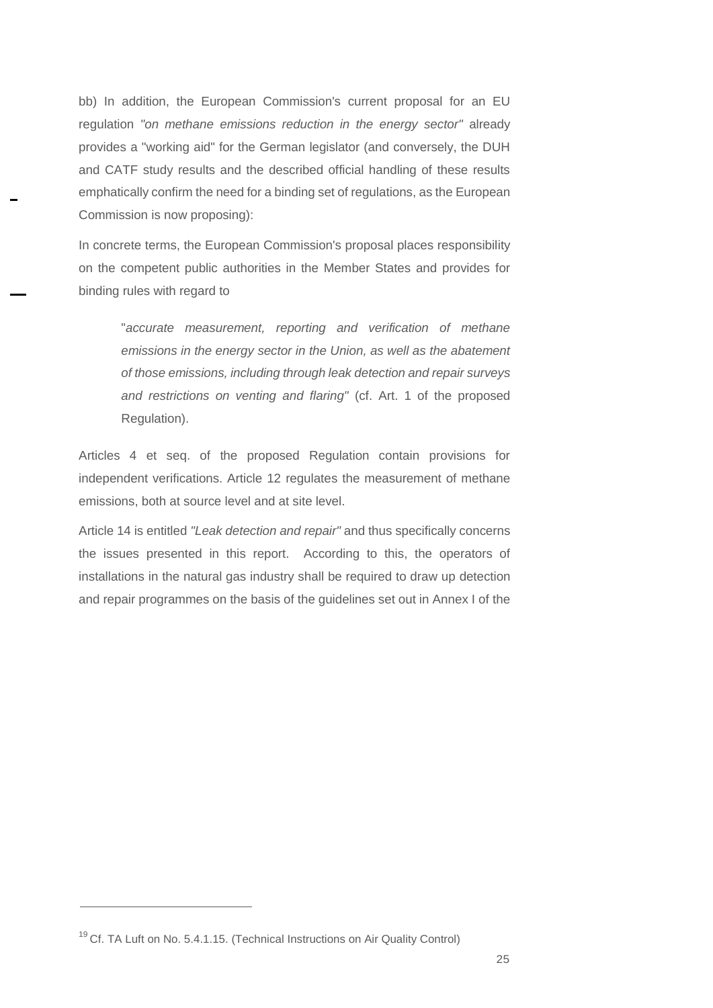bb) In addition, the European Commission's current proposal for an EU regulation *"on methane emissions reduction in the energy sector"* already provides a "working aid" for the German legislator (and conversely, the DUH and CATF study results and the described official handling of these results emphatically confirm the need for a binding set of regulations, as the European Commission is now proposing):

In concrete terms, the European Commission's proposal places responsibility on the competent public authorities in the Member States and provides for binding rules with regard to

> "*accurate measurement, reporting and verification of methane emissions in the energy sector in the Union, as well as the abatement of those emissions, including through leak detection and repair surveys and restrictions on venting and flaring"* (cf. Art. 1 of the proposed Regulation).

Articles 4 et seq. of the proposed Regulation contain provisions for independent verifications. Article 12 regulates the measurement of methane emissions, both at source level and at site level.

Article 14 is entitled *"Leak detection and repair"* and thus specifically concerns the issues presented in this report. According to this, the operators of installations in the natural gas industry shall be required to draw up detection and repair programmes on the basis of the guidelines set out in Annex I of the

<sup>&</sup>lt;sup>19</sup> Cf. TA Luft on No. 5.4.1.15. (Technical Instructions on Air Quality Control)